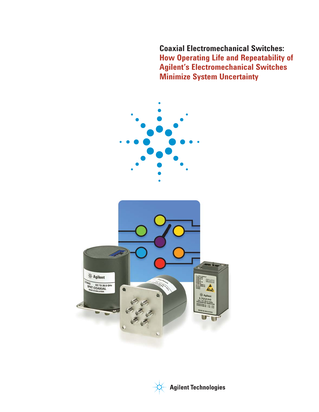**Coaxial Electromechanical Switches: How Operating Life and Repeatability of Agilent's Electromechanical Switches Minimize System Uncertainty**



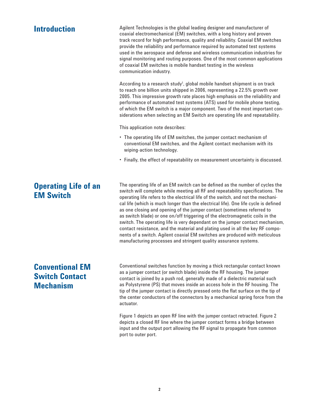### Agilent Technologies is the global leading designer and manufacturer of coaxial electromechanical (EM) switches, with a long history and proven track record for high performance, quality and reliability. Coaxial EM switches provide the reliability and performance required by automated test systems used in the aerospace and defense and wireless communication industries for signal monitoring and routing purposes. One of the most common applications of coaxial EM switches is mobile handset testing in the wireless communication industry. According to a research study<sup>1</sup>, global mobile handset shipment is on track to reach one billion units shipped in 2006, representing a 22.5% growth over 2005. This impressive growth rate places high emphasis on the reliability and performance of automated test systems (ATS) used for mobile phone testing, of which the EM switch is a major component. Two of the most important considerations when selecting an EM Switch are operating life and repeatability. This application note describes: • The operating life of EM switches, the jumper contact mechanism of conventional EM switches, and the Agilent contact mechanism with its wiping-action technology. • Finally, the effect of repeatability on measurement uncertainty is discussed. The operating life of an EM switch can be defined as the number of cycles the switch will complete while meeting all RF and repeatability specifications. The operating life refers to the electrical life of the switch, and not the mechanical life (which is much longer than the electrical life). One life cycle is defined **Introduction Operating Life of an EM Switch**

as one closing and opening of the jumper contact (sometimes referred to as switch blade) or one on/off triggering of the electromagnetic coils in the switch. The operating life is very dependant on the jumper contact mechanism, contact resistance, and the material and plating used in all the key RF components of a switch. Agilent coaxial EM switches are produced with meticulous manufacturing processes and stringent quality assurance systems.

# **Conventional EM Switch Contact Mechanism**

Conventional switches function by moving a thick rectangular contact known as a jumper contact (or switch blade) inside the RF housing. The jumper contact is joined by a push rod, generally made of a dielectric material such as Polystyrene (PS) that moves inside an access hole in the RF housing. The tip of the jumper contact is directly pressed onto the flat surface on the tip of the center conductors of the connectors by a mechanical spring force from the actuator.

Figure 1 depicts an open RF line with the jumper contact retracted. Figure 2 depicts a closed RF line where the jumper contact forms a bridge between input and the output port allowing the RF signal to propagate from common port to outer port.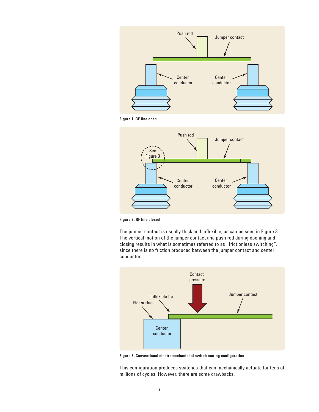

**Figure 1. RF line open**



**Figure 2. RF line closed**

The jumper contact is usually thick and inflexible, as can be seen in Figure 3. The vertical motion of the jumper contact and push rod during opening and closing results in what is sometimes referred to as "frictionless switching", since there is no friction produced between the jumper contact and center conductor.



**Figure 3. Conventional electromechanichal switch mating configuration** 

This configuration produces switches that can mechanically actuate for tens of millions of cycles. However, there are some drawbacks.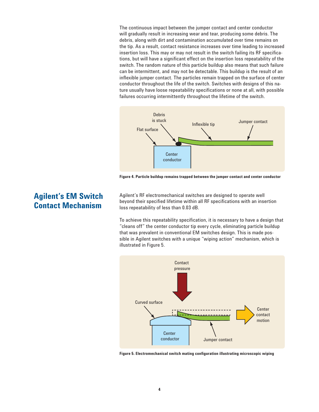The continuous impact between the jumper contact and center conductor will gradually result in increasing wear and tear, producing some debris. The debris, along with dirt and contamination accumulated over time remains on the tip. As a result, contact resistance increases over time leading to increased insertion loss. This may or may not result in the switch failing its RF specifications, but will have a significant effect on the insertion loss repeatability of the switch. The random nature of this particle buildup also means that such failure can be intermittent, and may not be detectable. This buildup is the result of an inflexible jumper contact. The particles remain trapped on the surface of center conductor throughout the life of the switch. Switches with designs of this nature usually have loose repeatability specifications or none at all, with possible failures occurring intermittently throughout the lifetime of the switch.



**Figure 4. Particle buildup remains trapped between the jumper contact and center conductor**

Agilent's RF electromechanical switches are designed to operate well beyond their specified lifetime within all RF specifications with an insertion loss repeatability of less than 0.03 dB.

To achieve this repeatability specification, it is necessary to have a design that "cleans off" the center conductor tip every cycle, eliminating particle buildup that was prevalent in conventional EM switches design. This is made possible in Agilent switches with a unique "wiping action" mechanism, which is illustrated in Figure 5.



Figure 5. Electromechanical switch mating configuration illustrating microscopic wiping

# **Agilent's EM Switch Contact Mechanism**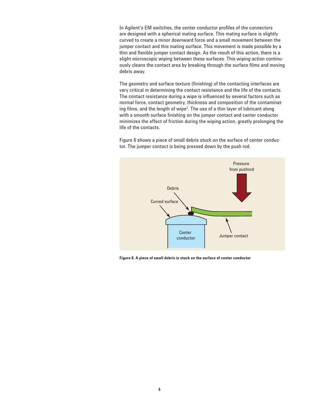In Agilent's EM switches, the center conductor profiles of the connectors are designed with a spherical mating surface. This mating surface is slightly curved to create a minor downward force and a small movement between the jumper contact and this mating surface. This movement is made possible by a thin and flexible jumper contact design. As the result of this action, there is a slight microscopic wiping between these surfaces. This wiping action continuously cleans the contact area by breaking through the surface films and moving debris away.

The geometry and surface texture (finishing) of the contacting interfaces are very critical in determining the contact resistance and the life of the contacts. The contact resistance during a wipe is influenced by several factors such as normal force, contact geometry, thickness and composition of the contaminating films, and the length of wipe<sup>2</sup>. The use of a thin layer of lubricant along with a smooth surface finishing on the jumper contact and center conductor minimizes the effect of friction during the wiping action, greatly prolonging the life of the contacts.

Figure 6 shows a piece of small debris stuck on the surface of center conductor. The jumper contact is being pressed down by the push rod.



**Figure 6. A piece of small debris is stuck on the surface of center conductor**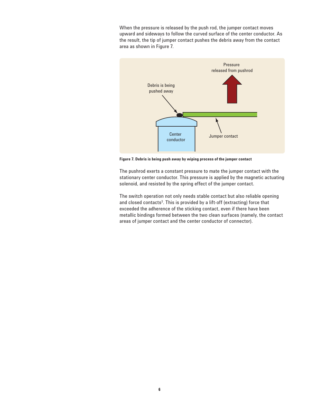When the pressure is released by the push rod, the jumper contact moves upward and sideways to follow the curved surface of the center conductor. As the result, the tip of jumper contact pushes the debris away from the contact area as shown in Figure 7.



**Figure 7. Debris is being push away by wiping process of the jumper contact**

The pushrod exerts a constant pressure to mate the jumper contact with the stationary center conductor. This pressure is applied by the magnetic actuating solenoid, and resisted by the spring effect of the jumper contact.

The switch operation not only needs stable contact but also reliable opening and closed contacts $3$ . This is provided by a lift-off (extracting) force that exceeded the adherence of the sticking contact, even if there have been metallic bindings formed between the two clean surfaces (namely, the contact areas of jumper contact and the center conductor of connector).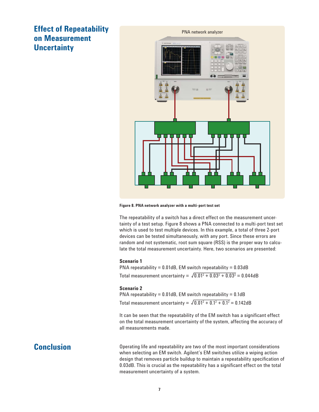# **Effect of Repeatability on Measurement Uncertainty**



**Figure 8. PNA network analyzer with a multi-port test set** 

The repeatability of a switch has a direct effect on the measurement uncertainty of a test setup. Figure 8 shows a PNA connected to a multi-port test set which is used to test multiple devices. In this example, a total of three 2-port devices can be tested simultaneously, with any port. Since these errors are random and not systematic, root sum square (RSS) is the proper way to calculate the total measurement uncertainty. Here, two scenarios are presented:

#### **Scenario 1**

PNA repeatability =  $0.01$ dB, EM switch repeatability =  $0.03$ dB Total measurement uncertainty =  $\sqrt{0.01^2 + 0.03^2 + 0.03^2} = 0.044$ dB

#### **Scenario 2**

PNA repeatability =  $0.01$ dB, EM switch repeatability =  $0.1$ dB Total measurement uncertainty =  $\sqrt{0.01^2 + 0.1^2 + 0.1^2} = 0.142$ dB

It can be seen that the repeatability of the EM switch has a significant effect on the total measurement uncertainty of the system, affecting the accuracy of all measurements made.

## **Conclusion**

Operating life and repeatability are two of the most important considerations when selecting an EM switch. Agilent's EM switches utilize a wiping action design that removes particle buildup to maintain a repeatability specification of 0.03dB. This is crucial as the repeatability has a significant effect on the total measurement uncertainty of a system.